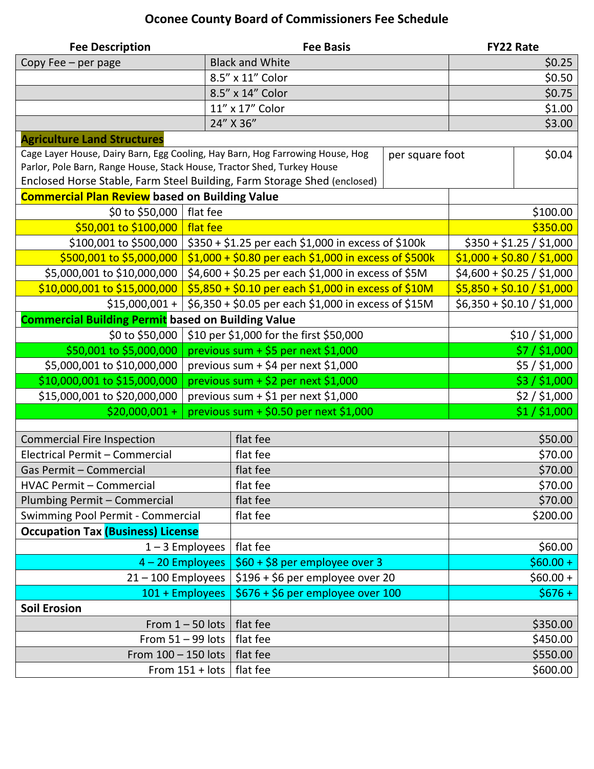## **Oconee County Board of Commissioners Fee Schedule**

| <b>Fee Description</b>                                                        |                                                      | <b>Fee Basis</b>                                      |                 | <b>FY22 Rate</b>          |                           |  |
|-------------------------------------------------------------------------------|------------------------------------------------------|-------------------------------------------------------|-----------------|---------------------------|---------------------------|--|
| Copy Fee - per page                                                           |                                                      | <b>Black and White</b>                                |                 | \$0.25                    |                           |  |
|                                                                               |                                                      | 8.5" x 11" Color                                      |                 | \$0.50                    |                           |  |
|                                                                               |                                                      | 8.5" x 14" Color                                      |                 | \$0.75                    |                           |  |
|                                                                               |                                                      | 11" x 17" Color                                       |                 | \$1.00                    |                           |  |
|                                                                               | 24" X 36"                                            |                                                       |                 | \$3.00                    |                           |  |
| <b>Agriculture Land Structures</b>                                            |                                                      |                                                       |                 |                           |                           |  |
| Cage Layer House, Dairy Barn, Egg Cooling, Hay Barn, Hog Farrowing House, Hog |                                                      |                                                       | per square foot |                           | \$0.04                    |  |
| Parlor, Pole Barn, Range House, Stack House, Tractor Shed, Turkey House       |                                                      |                                                       |                 |                           |                           |  |
| Enclosed Horse Stable, Farm Steel Building, Farm Storage Shed (enclosed)      |                                                      |                                                       |                 |                           |                           |  |
| <b>Commercial Plan Review</b> based on Building Value                         |                                                      |                                                       |                 |                           |                           |  |
| \$0 to \$50,000                                                               | flat fee                                             |                                                       |                 |                           | \$100.00                  |  |
| \$50,001 to \$100,000                                                         | flat fee                                             |                                                       | \$350.00        |                           |                           |  |
| \$100,001 to \$500,000                                                        |                                                      | \$350 + \$1.25 per each \$1,000 in excess of \$100k   |                 |                           | $$350 + $1.25 / $1,000$   |  |
| \$500,001 to \$5,000,000                                                      |                                                      | \$1,000 + \$0.80 per each \$1,000 in excess of \$500k |                 |                           | $$1,000 + $0.80 / $1,000$ |  |
| \$5,000,001 to \$10,000,000                                                   |                                                      | \$4,600 + \$0.25 per each \$1,000 in excess of \$5M   |                 |                           | $$4,600 + $0.25 / $1,000$ |  |
| \$10,000,001 to \$15,000,000                                                  | \$5,850 + \$0.10 per each \$1,000 in excess of \$10M |                                                       |                 | $$5,850 + $0.10 / $1,000$ |                           |  |
| $$15,000,001 +$                                                               | \$6,350 + \$0.05 per each \$1,000 in excess of \$15M |                                                       |                 | $$6,350 + $0.10 / $1,000$ |                           |  |
| <b>Commercial Building Permit based on Building Value</b>                     |                                                      |                                                       |                 |                           |                           |  |
| \$0 to \$50,000                                                               | \$10 per \$1,000 for the first \$50,000              |                                                       |                 | \$10/\$1,000              |                           |  |
| \$50,001 to \$5,000,000                                                       | previous sum + \$5 per next \$1,000                  |                                                       |                 |                           | \$7/\$1,000               |  |
| \$5,000,001 to \$10,000,000                                                   | previous sum + \$4 per next \$1,000                  |                                                       |                 |                           | \$5/\$1,000               |  |
| \$10,000,001 to \$15,000,000                                                  | previous sum + \$2 per next \$1,000                  |                                                       |                 | \$3/\$1,000               |                           |  |
| \$15,000,001 to \$20,000,000                                                  | previous sum + $$1$ per next $$1,000$                |                                                       |                 | \$2/\$1,000               |                           |  |
| $$20,000,001 +$<br>previous sum + $$0.50$ per next \$1,000                    |                                                      |                                                       |                 |                           | \$1/\$1,000               |  |
|                                                                               |                                                      |                                                       |                 |                           |                           |  |
| <b>Commercial Fire Inspection</b>                                             |                                                      | flat fee                                              |                 | \$50.00                   |                           |  |
| Electrical Permit - Commercial                                                |                                                      | flat fee                                              |                 | \$70.00                   |                           |  |
| Gas Permit - Commercial                                                       |                                                      | flat fee                                              |                 | \$70.00                   |                           |  |
| <b>HVAC Permit - Commercial</b>                                               |                                                      | flat fee                                              |                 | \$70.00                   |                           |  |
| Plumbing Permit - Commercial                                                  |                                                      | flat fee                                              |                 | \$70.00                   |                           |  |
| Swimming Pool Permit - Commercial                                             |                                                      | flat fee                                              |                 | \$200.00                  |                           |  |
| <b>Occupation Tax (Business) License</b>                                      |                                                      |                                                       |                 |                           |                           |  |
| $1 - 3$ Employees                                                             |                                                      | flat fee                                              |                 | \$60.00                   |                           |  |
| 4 - 20 Employees                                                              |                                                      | \$60 + \$8 per employee over 3                        |                 | $$60.00 +$                |                           |  |
| $21 - 100$ Employees                                                          |                                                      | \$196 + \$6 per employee over 20                      |                 | $$60.00+$                 |                           |  |
| 101 + Employees                                                               |                                                      | \$676 + \$6 per employee over 100                     |                 |                           | $$676+$                   |  |
| <b>Soil Erosion</b>                                                           |                                                      |                                                       |                 |                           |                           |  |
| From $1 - 50$ lots                                                            |                                                      | flat fee                                              |                 | \$350.00                  |                           |  |
| From $51 - 99$ lots                                                           |                                                      | flat fee                                              |                 | \$450.00                  |                           |  |
| From 100 - 150 lots                                                           |                                                      | flat fee                                              |                 | \$550.00                  |                           |  |
| From $151 +$ lots                                                             |                                                      | flat fee                                              |                 | \$600.00                  |                           |  |